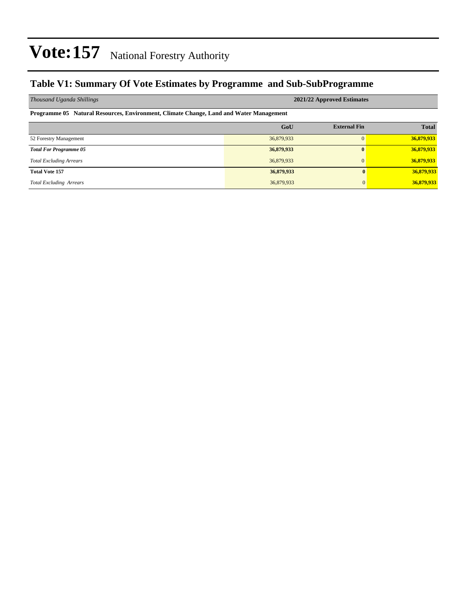### **Table V1: Summary Of Vote Estimates by Programme and Sub-SubProgramme**

| Thousand Uganda Shillings                                                              | 2021/22 Approved Estimates |                     |              |  |  |  |  |  |  |  |
|----------------------------------------------------------------------------------------|----------------------------|---------------------|--------------|--|--|--|--|--|--|--|
| Programme 05 Natural Resources, Environment, Climate Change, Land and Water Management |                            |                     |              |  |  |  |  |  |  |  |
|                                                                                        | GoU                        | <b>External Fin</b> | <b>Total</b> |  |  |  |  |  |  |  |
| 52 Forestry Management                                                                 | 36,879,933                 | $\Omega$            | 36,879,933   |  |  |  |  |  |  |  |
| <b>Total For Programme 05</b>                                                          | 36,879,933                 | $\mathbf{0}$        | 36,879,933   |  |  |  |  |  |  |  |
| <b>Total Excluding Arrears</b>                                                         | 36,879,933                 | $\mathbf{0}$        | 36,879,933   |  |  |  |  |  |  |  |
| <b>Total Vote 157</b>                                                                  | 36,879,933                 | 0                   | 36,879,933   |  |  |  |  |  |  |  |
| <b>Total Excluding Arrears</b>                                                         | 36,879,933                 | $\Omega$            | 36,879,933   |  |  |  |  |  |  |  |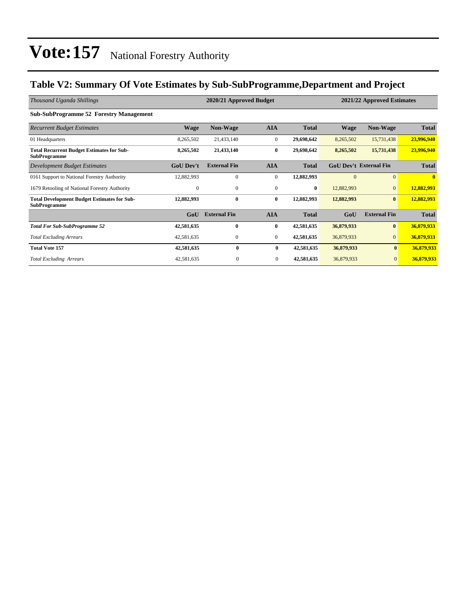### **Table V2: Summary Of Vote Estimates by Sub-SubProgramme,Department and Project**

| Thousand Uganda Shillings                                                 | 2020/21 Approved Budget<br>2021/22 Approved Estimates |                     |                |              |             |                               |              |
|---------------------------------------------------------------------------|-------------------------------------------------------|---------------------|----------------|--------------|-------------|-------------------------------|--------------|
| <b>Sub-SubProgramme 52 Forestry Management</b>                            |                                                       |                     |                |              |             |                               |              |
| <b>Recurrent Budget Estimates</b>                                         | <b>Wage</b>                                           | <b>Non-Wage</b>     | <b>AIA</b>     | <b>Total</b> | <b>Wage</b> | Non-Wage                      | <b>Total</b> |
| 01 Headquarters                                                           | 8,265,502                                             | 21,433,140          | $\mathbf{0}$   | 29,698,642   | 8,265,502   | 15,731,438                    | 23,996,940   |
| <b>Total Recurrent Budget Estimates for Sub-</b><br><b>SubProgramme</b>   | 8,265,502                                             | 21,433,140          | $\bf{0}$       | 29,698,642   | 8,265,502   | 15,731,438                    | 23,996,940   |
| Development Budget Estimates                                              | <b>GoU Dev't</b>                                      | <b>External Fin</b> | <b>AIA</b>     | <b>Total</b> |             | <b>GoU Dev't External Fin</b> | <b>Total</b> |
| 0161 Support to National Forestry Authority                               | 12,882,993                                            | $\mathbf{0}$        | $\mathbf{0}$   | 12,882,993   | $\Omega$    | $\mathbf{0}$                  | $\mathbf{0}$ |
| 1679 Retooling of National Forestry Authority                             | $\mathbf{0}$                                          | $\mathbf{0}$        | $\mathbf{0}$   | $\bf{0}$     | 12,882,993  | $\mathbf{0}$                  | 12,882,993   |
| <b>Total Development Budget Estimates for Sub-</b><br><b>SubProgramme</b> | 12,882,993                                            | $\bf{0}$            | $\bf{0}$       | 12,882,993   | 12,882,993  | $\bf{0}$                      | 12,882,993   |
|                                                                           | GoU                                                   | <b>External Fin</b> | <b>AIA</b>     | <b>Total</b> | GoU         | <b>External Fin</b>           | <b>Total</b> |
| <b>Total For Sub-SubProgramme 52</b>                                      | 42,581,635                                            | $\bf{0}$            | $\bf{0}$       | 42,581,635   | 36,879,933  | $\bf{0}$                      | 36,879,933   |
| <b>Total Excluding Arrears</b>                                            | 42,581,635                                            | $\boldsymbol{0}$    | $\mathbf{0}$   | 42,581,635   | 36,879,933  | $\mathbf{0}$                  | 36,879,933   |
| <b>Total Vote 157</b>                                                     | 42,581,635                                            | $\bf{0}$            | $\bf{0}$       | 42,581,635   | 36,879,933  | $\bf{0}$                      | 36,879,933   |
| <b>Total Excluding Arrears</b>                                            | 42,581,635                                            | $\mathbf{0}$        | $\overline{0}$ | 42,581,635   | 36,879,933  | $\overline{0}$                | 36,879,933   |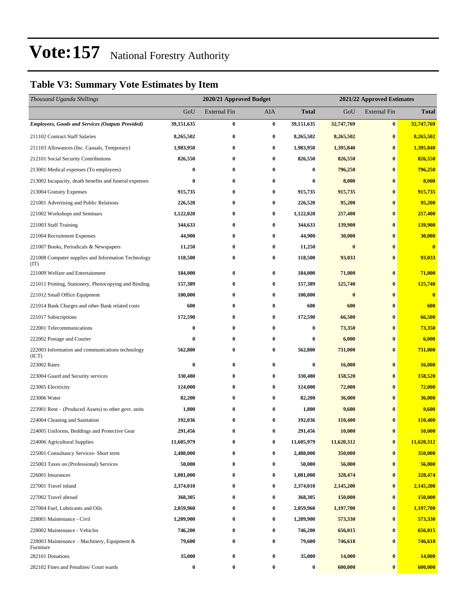## **Table V3: Summary Vote Estimates by Item**

| Thousand Uganda Shillings                                   |                  | 2020/21 Approved Budget |            |                  | 2021/22 Approved Estimates |                     |              |  |
|-------------------------------------------------------------|------------------|-------------------------|------------|------------------|----------------------------|---------------------|--------------|--|
|                                                             | GoU              | <b>External Fin</b>     | <b>AIA</b> | <b>Total</b>     | GoU                        | <b>External Fin</b> | <b>Total</b> |  |
| <b>Employees, Goods and Services (Outputs Provided)</b>     | 39,151,635       | $\bf{0}$                | $\bf{0}$   | 39,151,635       | 32,747,769                 | $\bf{0}$            | 32,747,769   |  |
| 211102 Contract Staff Salaries                              | 8,265,502        | $\bf{0}$                | $\bf{0}$   | 8,265,502        | 8,265,502                  | $\bf{0}$            | 8,265,502    |  |
| 211103 Allowances (Inc. Casuals, Temporary)                 | 1,983,950        | 0                       | $\bf{0}$   | 1,983,950        | 1,395,840                  | $\bf{0}$            | 1,395,840    |  |
| 212101 Social Security Contributions                        | 826,550          | 0                       | $\bf{0}$   | 826,550          | 826,550                    | $\bf{0}$            | 826,550      |  |
| 213001 Medical expenses (To employees)                      | 0                | 0                       | $\bf{0}$   | 0                | 796,250                    | $\bf{0}$            | 796,250      |  |
| 213002 Incapacity, death benefits and funeral expenses      | 0                | $\bf{0}$                | $\bf{0}$   | 0                | 8,000                      | $\bf{0}$            | 8,000        |  |
| 213004 Gratuity Expenses                                    | 915,735          | $\bf{0}$                | $\bf{0}$   | 915,735          | 915,735                    | $\bf{0}$            | 915,735      |  |
| 221001 Advertising and Public Relations                     | 226,520          | 0                       | $\bf{0}$   | 226,520          | 95,200                     | $\bf{0}$            | 95,200       |  |
| 221002 Workshops and Seminars                               | 1,122,020        | $\bf{0}$                | $\bf{0}$   | 1,122,020        | 257,400                    | $\bf{0}$            | 257,400      |  |
| 221003 Staff Training                                       | 344,633          | 0                       | $\bf{0}$   | 344,633          | 139,900                    | $\bf{0}$            | 139,900      |  |
| 221004 Recruitment Expenses                                 | 44,900           | $\bf{0}$                | $\bf{0}$   | 44,900           | 30,000                     | $\bf{0}$            | 30,000       |  |
| 221007 Books, Periodicals & Newspapers                      | 11,250           | $\bf{0}$                | $\bf{0}$   | 11,250           | $\bf{0}$                   | $\bf{0}$            | $\bf{0}$     |  |
| 221008 Computer supplies and Information Technology<br>(TT) | 118,500          | 0                       | $\bf{0}$   | 118,500          | 93,033                     | $\bf{0}$            | 93,033       |  |
| 221009 Welfare and Entertainment                            | 184,000          | $\bf{0}$                | $\bf{0}$   | 184,000          | 71,000                     | $\bf{0}$            | 71,000       |  |
| 221011 Printing, Stationery, Photocopying and Binding       | 157,389          | $\bf{0}$                | $\bf{0}$   | 157,389          | 125,740                    | $\bf{0}$            | 125,740      |  |
| 221012 Small Office Equipment                               | 100,000          | 0                       | $\bf{0}$   | 100,000          | $\bf{0}$                   | $\bf{0}$            | $\bf{0}$     |  |
| 221014 Bank Charges and other Bank related costs            | 600              | 0                       | $\bf{0}$   | 600              | 600                        | $\bf{0}$            | 600          |  |
| 221017 Subscriptions                                        | 172,590          | $\bf{0}$                | $\bf{0}$   | 172,590          | 66,500                     | $\bf{0}$            | 66,500       |  |
| 222001 Telecommunications                                   | 0                | 0                       | $\bf{0}$   | $\bf{0}$         | 73,350                     | $\bf{0}$            | 73,350       |  |
| 222002 Postage and Courier                                  | 0                | $\bf{0}$                | $\bf{0}$   | $\bf{0}$         | 6,000                      | $\bf{0}$            | 6,000        |  |
| 222003 Information and communications technology<br>(ICT)   | 562,800          | 0                       | $\bf{0}$   | 562,800          | 731,000                    | $\bf{0}$            | 731,000      |  |
| 223002 Rates                                                | 0                | $\bf{0}$                | $\bf{0}$   | $\bf{0}$         | 16,000                     | $\bf{0}$            | 16,000       |  |
| 223004 Guard and Security services                          | 330,480          | 0                       | $\bf{0}$   | 330,480          | 158,520                    | $\bf{0}$            | 158,520      |  |
| 223005 Electricity                                          | 124,000          | 0                       | $\bf{0}$   | 124,000          | 72,000                     | $\bf{0}$            | 72,000       |  |
| 223006 Water                                                | 82,200           | 0                       | $\bf{0}$   | 82,200           | 36,000                     | $\bf{0}$            | 36,000       |  |
| 223901 Rent – (Produced Assets) to other govt. units        | 1,800            | 0                       | $\bf{0}$   | 1,800            | 9,600                      | $\bf{0}$            | 9,600        |  |
| 224004 Cleaning and Sanitation                              | 192,036          | $\bf{0}$                | $\bf{0}$   | 192,036          | 110,400                    | $\bf{0}$            | 110,400      |  |
| 224005 Uniforms, Beddings and Protective Gear               | 291,456          | $\bf{0}$                | $\bf{0}$   | 291,456          | 10,000                     | $\bf{0}$            | 10,000       |  |
| 224006 Agricultural Supplies                                | 11,605,979       | $\bf{0}$                | $\bf{0}$   | 11,605,979       | 11,620,312                 | $\bf{0}$            | 11,620,312   |  |
| 225001 Consultancy Services- Short term                     | 2,488,000        | $\bf{0}$                | $\bf{0}$   | 2,488,000        | 350,000                    | $\bf{0}$            | 350,000      |  |
| 225003 Taxes on (Professional) Services                     | 50,000           | $\bf{0}$                | $\bf{0}$   | 50,000           | 56,000                     | $\bf{0}$            | 56,000       |  |
| 226001 Insurances                                           | 1,081,000        | 0                       | $\bf{0}$   | 1,081,000        | 328,474                    | $\bf{0}$            | 328,474      |  |
| 227001 Travel inland                                        | 2,374,010        | $\bf{0}$                | $\bf{0}$   | 2,374,010        | 2,145,200                  | $\bf{0}$            | 2,145,200    |  |
| 227002 Travel abroad                                        | 368,305          | $\bf{0}$                | $\bf{0}$   | 368,305          | 150,000                    | $\bf{0}$            | 150,000      |  |
| 227004 Fuel, Lubricants and Oils                            | 2,059,960        | 0                       | $\bf{0}$   | 2,059,960        | 1,197,700                  | $\bf{0}$            | 1,197,700    |  |
| 228001 Maintenance - Civil                                  | 1,209,900        | $\bf{0}$                | $\bf{0}$   | 1,209,900        | 573,330                    | $\bf{0}$            | 573,330      |  |
| 228002 Maintenance - Vehicles                               | 746,200          | 0                       | $\bf{0}$   | 746,200          | 656,015                    | $\bf{0}$            | 656,015      |  |
| 228003 Maintenance – Machinery, Equipment &<br>Furniture    | 79,600           | $\bf{0}$                | $\bf{0}$   | 79,600           | 746,618                    | $\bf{0}$            | 746,618      |  |
| 282101 Donations                                            | 35,000           | 0                       | $\bf{0}$   | 35,000           | 14,000                     | $\bf{0}$            | 14,000       |  |
| 282102 Fines and Penalties/ Court wards                     | $\boldsymbol{0}$ | $\boldsymbol{0}$        | $\bf{0}$   | $\boldsymbol{0}$ | 600,000                    | $\bf{0}$            | 600,000      |  |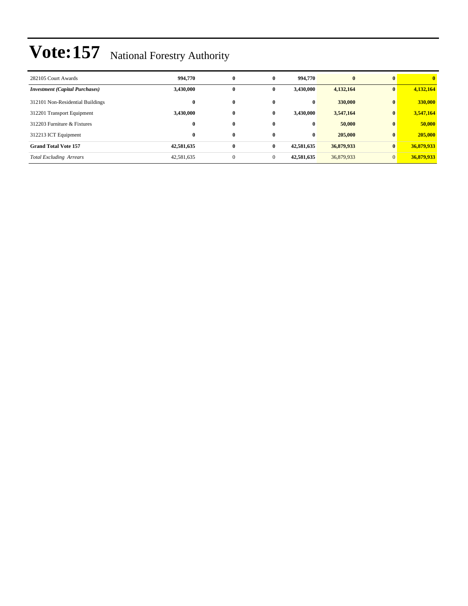| 282105 Court Awards                   | 994,770    | 0            | $\bf{0}$     | 994,770    | $\bf{0}$   | $\mathbf{0}$   | $\mathbf{0}$ |
|---------------------------------------|------------|--------------|--------------|------------|------------|----------------|--------------|
| <b>Investment</b> (Capital Purchases) | 3,430,000  | 0            | 0            | 3.430.000  | 4,132,164  | $\bf{0}$       | 4,132,164    |
| 312101 Non-Residential Buildings      | $\bf{0}$   | $\bf{0}$     | $\bf{0}$     | $\bf{0}$   | 330,000    | $\mathbf{0}$   | 330,000      |
| 312201 Transport Equipment            | 3.430.000  | 0            | 0            | 3.430.000  | 3,547,164  | $\bf{0}$       | 3,547,164    |
| 312203 Furniture & Fixtures           | $\bf{0}$   | 0            | $\mathbf{0}$ | $\bf{0}$   | 50,000     | $\mathbf{0}$   | 50,000       |
| 312213 ICT Equipment                  | $\bf{0}$   | $\bf{0}$     | $\mathbf{0}$ | $\bf{0}$   | 205,000    | $\mathbf{0}$   | 205,000      |
| <b>Grand Total Vote 157</b>           | 42,581,635 | $\bf{0}$     | $\mathbf{0}$ | 42,581,635 | 36,879,933 | $\bf{0}$       | 36,879,933   |
| <b>Total Excluding Arrears</b>        | 42,581,635 | $\mathbf{0}$ | $\theta$     | 42,581,635 | 36,879,933 | $\overline{0}$ | 36,879,933   |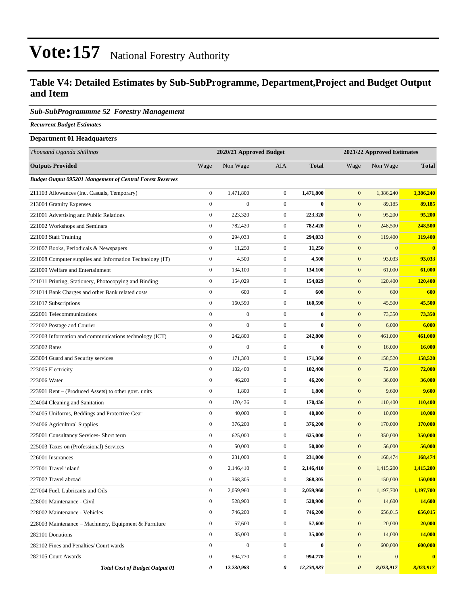### **Table V4: Detailed Estimates by Sub-SubProgramme, Department,Project and Budget Output and Item**

#### *Sub-SubProgrammme 52 Forestry Management*

*Recurrent Budget Estimates*

#### **Department 01 Headquarters**

| Thousand Uganda Shillings                                        |                  | 2020/21 Approved Budget |                  | 2021/22 Approved Estimates |                       |              |              |
|------------------------------------------------------------------|------------------|-------------------------|------------------|----------------------------|-----------------------|--------------|--------------|
| <b>Outputs Provided</b>                                          | Wage             | Non Wage                | <b>AIA</b>       | <b>Total</b>               | Wage                  | Non Wage     | <b>Total</b> |
| <b>Budget Output 095201 Mangement of Central Forest Reserves</b> |                  |                         |                  |                            |                       |              |              |
| 211103 Allowances (Inc. Casuals, Temporary)                      | $\boldsymbol{0}$ | 1,471,800               | $\mathbf{0}$     | 1,471,800                  | $\mathbf{0}$          | 1,386,240    | 1,386,240    |
| 213004 Gratuity Expenses                                         | $\boldsymbol{0}$ | $\boldsymbol{0}$        | $\mathbf{0}$     | $\bf{0}$                   | $\mathbf{0}$          | 89,185       | 89,185       |
| 221001 Advertising and Public Relations                          | $\boldsymbol{0}$ | 223,320                 | $\mathbf{0}$     | 223,320                    | $\mathbf{0}$          | 95,200       | 95,200       |
| 221002 Workshops and Seminars                                    | $\boldsymbol{0}$ | 782,420                 | $\mathbf{0}$     | 782,420                    | $\boldsymbol{0}$      | 248,500      | 248,500      |
| 221003 Staff Training                                            | $\boldsymbol{0}$ | 294,033                 | $\mathbf{0}$     | 294,033                    | $\mathbf{0}$          | 119,400      | 119,400      |
| 221007 Books, Periodicals & Newspapers                           | $\boldsymbol{0}$ | 11,250                  | $\mathbf{0}$     | 11,250                     | $\boldsymbol{0}$      | $\mathbf{0}$ | $\mathbf{0}$ |
| 221008 Computer supplies and Information Technology (IT)         | $\boldsymbol{0}$ | 4,500                   | $\mathbf{0}$     | 4,500                      | $\mathbf{0}$          | 93,033       | 93,033       |
| 221009 Welfare and Entertainment                                 | $\boldsymbol{0}$ | 134,100                 | $\mathbf{0}$     | 134,100                    | $\boldsymbol{0}$      | 61,000       | 61,000       |
| 221011 Printing, Stationery, Photocopying and Binding            | $\boldsymbol{0}$ | 154,029                 | $\mathbf{0}$     | 154,029                    | $\boldsymbol{0}$      | 120,400      | 120,400      |
| 221014 Bank Charges and other Bank related costs                 | $\boldsymbol{0}$ | 600                     | $\mathbf{0}$     | 600                        | $\boldsymbol{0}$      | 600          | 600          |
| 221017 Subscriptions                                             | $\boldsymbol{0}$ | 160,590                 | $\mathbf{0}$     | 160,590                    | $\boldsymbol{0}$      | 45,500       | 45,500       |
| 222001 Telecommunications                                        | $\overline{0}$   | $\boldsymbol{0}$        | $\mathbf{0}$     | $\bf{0}$                   | $\mathbf{0}$          | 73,350       | 73,350       |
| 222002 Postage and Courier                                       | $\boldsymbol{0}$ | $\overline{0}$          | $\mathbf{0}$     | $\bf{0}$                   | $\mathbf{0}$          | 6,000        | 6,000        |
| 222003 Information and communications technology (ICT)           | $\boldsymbol{0}$ | 242,800                 | $\mathbf{0}$     | 242,800                    | $\boldsymbol{0}$      | 461,000      | 461,000      |
| 223002 Rates                                                     | $\boldsymbol{0}$ | $\boldsymbol{0}$        | $\mathbf{0}$     | $\bf{0}$                   | $\boldsymbol{0}$      | 16,000       | 16,000       |
| 223004 Guard and Security services                               | $\boldsymbol{0}$ | 171,360                 | $\boldsymbol{0}$ | 171,360                    | $\boldsymbol{0}$      | 158,520      | 158,520      |
| 223005 Electricity                                               | $\boldsymbol{0}$ | 102,400                 | $\mathbf{0}$     | 102,400                    | $\mathbf{0}$          | 72,000       | 72,000       |
| 223006 Water                                                     | $\boldsymbol{0}$ | 46,200                  | $\mathbf{0}$     | 46,200                     | $\mathbf{0}$          | 36,000       | 36,000       |
| 223901 Rent – (Produced Assets) to other govt. units             | $\boldsymbol{0}$ | 1,800                   | $\boldsymbol{0}$ | 1,800                      | $\boldsymbol{0}$      | 9,600        | 9,600        |
| 224004 Cleaning and Sanitation                                   | $\boldsymbol{0}$ | 170,436                 | $\mathbf{0}$     | 170,436                    | $\boldsymbol{0}$      | 110,400      | 110,400      |
| 224005 Uniforms, Beddings and Protective Gear                    | $\boldsymbol{0}$ | 40,000                  | $\mathbf{0}$     | 40,000                     | $\boldsymbol{0}$      | 10,000       | 10,000       |
| 224006 Agricultural Supplies                                     | $\boldsymbol{0}$ | 376,200                 | $\mathbf{0}$     | 376,200                    | $\boldsymbol{0}$      | 170,000      | 170,000      |
| 225001 Consultancy Services- Short term                          | $\boldsymbol{0}$ | 625,000                 | $\mathbf{0}$     | 625,000                    | $\mathbf{0}$          | 350,000      | 350,000      |
| 225003 Taxes on (Professional) Services                          | $\boldsymbol{0}$ | 50,000                  | $\boldsymbol{0}$ | 50,000                     | $\boldsymbol{0}$      | 56,000       | 56,000       |
| 226001 Insurances                                                | $\boldsymbol{0}$ | 231,000                 | $\mathbf{0}$     | 231,000                    | $\boldsymbol{0}$      | 168,474      | 168,474      |
| 227001 Travel inland                                             | $\boldsymbol{0}$ | 2,146,410               | $\boldsymbol{0}$ | 2,146,410                  | $\boldsymbol{0}$      | 1,415,200    | 1,415,200    |
| 227002 Travel abroad                                             | $\boldsymbol{0}$ | 368,305                 | $\mathbf{0}$     | 368,305                    | $\mathbf{0}$          | 150,000      | 150,000      |
| 227004 Fuel, Lubricants and Oils                                 | $\boldsymbol{0}$ | 2,059,960               | $\boldsymbol{0}$ | 2,059,960                  | $\mathbf{0}$          | 1,197,700    | 1,197,700    |
| 228001 Maintenance - Civil                                       | $\boldsymbol{0}$ | 528,900                 | $\boldsymbol{0}$ | 528,900                    | $\boldsymbol{0}$      | 14,600       | 14,600       |
| 228002 Maintenance - Vehicles                                    | $\boldsymbol{0}$ | 746,200                 | $\boldsymbol{0}$ | 746,200                    | $\mathbf{0}$          | 656,015      | 656,015      |
| 228003 Maintenance – Machinery, Equipment & Furniture            | $\boldsymbol{0}$ | 57,600                  | $\boldsymbol{0}$ | 57,600                     | $\mathbf{0}$          | 20,000       | 20,000       |
| 282101 Donations                                                 | $\boldsymbol{0}$ | 35,000                  | $\boldsymbol{0}$ | 35,000                     | $\boldsymbol{0}$      | 14,000       | 14,000       |
| 282102 Fines and Penalties/ Court wards                          | $\boldsymbol{0}$ | $\boldsymbol{0}$        | $\boldsymbol{0}$ | $\bf{0}$                   | $\mathbf{0}$          | 600,000      | 600,000      |
| 282105 Court Awards                                              | $\boldsymbol{0}$ | 994,770                 | $\mathbf{0}$     | 994,770                    | $\boldsymbol{0}$      | $\bf{0}$     | $\mathbf{0}$ |
| <b>Total Cost of Budget Output 01</b>                            | 0                | 12,230,983              | 0                | 12,230,983                 | $\boldsymbol{\theta}$ | 8,023,917    | 8,023,917    |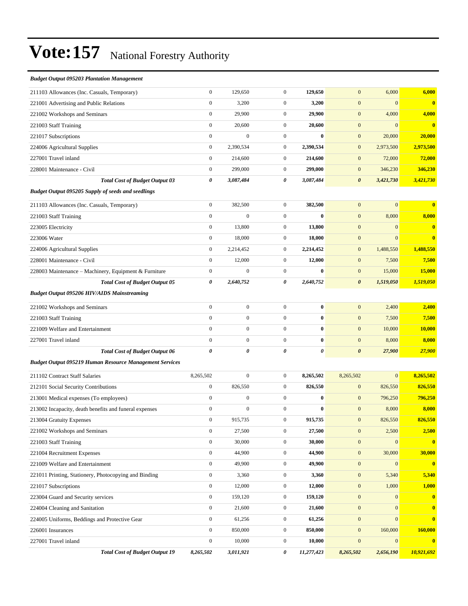### *Budget Output 095203 Plantation Management* 211103 Allowances (Inc. Casuals, Temporary) 0 129,650 0 **129,650** 0 6,000 **6,000** 221001 Advertising and Public Relations 0 3,200 0 **3,200** 0 0 **0** 221002 Workshops and Seminars 0 29,900 0 **29,900** 0 4,000 **4,000** 221003 Staff Training 0 20,600 0 **20,600** 0 0 **0** 221017 Subscriptions 0 0 0 **0** 0 20,000 **20,000** 224006 Agricultural Supplies 0 2,390,534 0 **2,390,534** 0 2,973,500 **2,973,500** 227001 Travel inland 0 214,600 0 **214,600** 0 72,000 **72,000** 228001 Maintenance - Civil 0 299,000 0 **299,000** 0 346,230 **346,230** *Total Cost of Budget Output 03 0 3,087,484 0 3,087,484 0 3,421,730 3,421,730 Budget Output 095205 Supply of seeds and seedlings* 211103 Allowances (Inc. Casuals, Temporary) 0 382,500 0 **382,500** 0 0 **0** 221003 Staff Training 0 0 0 **0** 0 8,000 **8,000** 223005 Electricity 0 13,800 0 **13,800** 0 0 **0** 223006 Water 0 18,000 0 **18,000** 0 0 **0** 224006 Agricultural Supplies 0 2,214,452 0 **2,214,452** 0 1,488,550 **1,488,550** 228001 Maintenance - Civil 0 12,000 0 **12,000** 0 7,500 **7,500** 228003 Maintenance ±Machinery, Equipment & Furniture 0 0 0 **0** 0 15,000 **15,000** *Total Cost of Budget Output 05 0 2,640,752 0 2,640,752 0 1,519,050 1,519,050 Budget Output 095206 HIV/AIDS Mainstreaming* 221002 Workshops and Seminars 0 0 0 **0** 0 2,400 **2,400** 221003 Staff Training 0 0 0 **0** 0 7,500 **7,500** 221009 Welfare and Entertainment 0 0 0 **0** 0 10,000 **10,000** 227001 Travel inland 0 0 0 **0** 0 8,000 **8,000** *Total Cost of Budget Output 06 0 0 0 0 0 27,900 27,900 Budget Output 095219 Human Resource Management Services* 211102 Contract Staff Salaries 8,265,502 0 0 **8,265,502** 8,265,502 0 **8,265,502** 212101 Social Security Contributions 0 826,550 0 **826,550** 0 826,550 **826,550**

| 213001 Medical expenses (To employees)                 | $\mathbf{0}$     | $\mathbf{0}$ | $\mathbf{0}$   | $\bf{0}$   | $\boldsymbol{0}$ | 796,250      | 796,250      |
|--------------------------------------------------------|------------------|--------------|----------------|------------|------------------|--------------|--------------|
| 213002 Incapacity, death benefits and funeral expenses | $\mathbf{0}$     | $\mathbf{0}$ | $\mathbf{0}$   | $\bf{0}$   | $\mathbf{0}$     | 8,000        | 8,000        |
| 213004 Gratuity Expenses                               | $\mathbf{0}$     | 915,735      | $\overline{0}$ | 915,735    | $\mathbf{0}$     | 826,550      | 826,550      |
| 221002 Workshops and Seminars                          | $\mathbf{0}$     | 27,500       | $\overline{0}$ | 27,500     | $\mathbf{0}$     | 2,500        | 2,500        |
| 221003 Staff Training                                  | $\mathbf{0}$     | 30,000       | $\overline{0}$ | 30,000     | $\mathbf{0}$     | $\Omega$     |              |
| 221004 Recruitment Expenses                            | $\mathbf{0}$     | 44,900       | $\mathbf{0}$   | 44,900     | $\boldsymbol{0}$ | 30,000       | 30,000       |
| 221009 Welfare and Entertainment                       | $\mathbf{0}$     | 49,900       | $\mathbf{0}$   | 49,900     | $\overline{0}$   | $\Omega$     |              |
| 221011 Printing, Stationery, Photocopying and Binding  | $\mathbf{0}$     | 3,360        | $\overline{0}$ | 3,360      | $\boldsymbol{0}$ | 5,340        | 5,340        |
| 221017 Subscriptions                                   | $\mathbf{0}$     | 12,000       | $\overline{0}$ | 12,000     | $\mathbf{0}$     | 1,000        | 1,000        |
| 223004 Guard and Security services                     | $\boldsymbol{0}$ | 159,120      | $\overline{0}$ | 159,120    | $\boldsymbol{0}$ | $\mathbf{0}$ |              |
| 224004 Cleaning and Sanitation                         | $\mathbf{0}$     | 21,600       | $\mathbf{0}$   | 21,600     | $\mathbf{0}$     | $\Omega$     | $\mathbf{0}$ |
| 224005 Uniforms, Beddings and Protective Gear          | $\mathbf{0}$     | 61,256       | $\overline{0}$ | 61,256     | $\mathbf{0}$     | $\mathbf{0}$ | $\mathbf{0}$ |
| 226001 Insurances                                      | $\mathbf{0}$     | 850,000      | $\overline{0}$ | 850,000    | $\mathbf{0}$     | 160,000      | 160,000      |
| 227001 Travel inland                                   | $\mathbf{0}$     | 10,000       | $\mathbf{0}$   | 10,000     | $\overline{0}$   | $\Omega$     |              |
| <b>Total Cost of Budget Output 19</b>                  | 8,265,502        | 3,011,921    | 0              | 11,277,423 | 8,265,502        | 2,656,190    | 10,921,692   |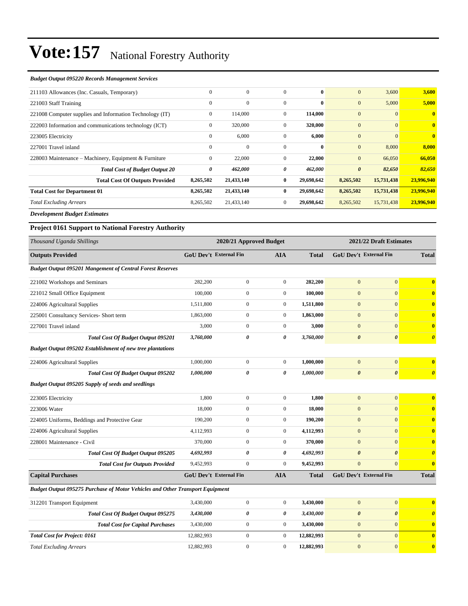#### *Budget Output 095220 Records Management Services*

| 211103 Allowances (Inc. Casuals, Temporary)              | $\Omega$     | $\Omega$     | $\Omega$       | $\mathbf{0}$ | $\mathbf{0}$          | 3,600        | 3,600                   |
|----------------------------------------------------------|--------------|--------------|----------------|--------------|-----------------------|--------------|-------------------------|
| 221003 Staff Training                                    | $\Omega$     | $\Omega$     | $\Omega$       | $\mathbf{0}$ | $\mathbf{0}$          | 5,000        | 5,000                   |
| 221008 Computer supplies and Information Technology (IT) | $\mathbf{0}$ | 114,000      | $\overline{0}$ | 114,000      | $\overline{0}$        | $\Omega$     | $\mathbf{0}$            |
| 222003 Information and communications technology (ICT)   | $\mathbf{0}$ | 320,000      | $\mathbf{0}$   | 320,000      | $\overline{0}$        | $\mathbf{0}$ | $\overline{\mathbf{0}}$ |
| 223005 Electricity                                       | $\mathbf{0}$ | 6,000        | $\mathbf{0}$   | 6,000        | $\overline{0}$        | $\Omega$     | $\overline{0}$          |
| 227001 Travel inland                                     | $\theta$     | $\mathbf{0}$ | $\mathbf{0}$   | $\bf{0}$     | $\mathbf{0}$          | 8,000        | 8,000                   |
| 228003 Maintenance – Machinery, Equipment & Furniture    | $\mathbf{0}$ | 22,000       | $\overline{0}$ | 22,000       | $\mathbf{0}$          | 66,050       | 66,050                  |
| <b>Total Cost of Budget Output 20</b>                    | 0            | 462,000      | 0              | 462,000      | $\boldsymbol{\theta}$ | 82,650       | 82,650                  |
| <b>Total Cost Of Outputs Provided</b>                    | 8,265,502    | 21,433,140   | $\bf{0}$       | 29,698,642   | 8,265,502             | 15,731,438   | 23,996,940              |
| <b>Total Cost for Department 01</b>                      | 8,265,502    | 21,433,140   | $\bf{0}$       | 29,698,642   | 8,265,502             | 15,731,438   | 23,996,940              |
| <b>Total Excluding Arrears</b>                           | 8,265,502    | 21,433,140   | $\overline{0}$ | 29,698,642   | 8,265,502             | 15,731,438   | 23,996,940              |
|                                                          |              |              |                |              |                       |              |                         |

*Development Budget Estimates*

### **Project 0161 Support to National Forestry Authority**

| Thousand Uganda Shillings                                                     | 2020/21 Approved Budget       |                  |                  |              | 2021/22 Draft Estimates |                               |                         |  |
|-------------------------------------------------------------------------------|-------------------------------|------------------|------------------|--------------|-------------------------|-------------------------------|-------------------------|--|
| <b>Outputs Provided</b>                                                       | GoU Dev't External Fin        |                  | <b>AIA</b>       | <b>Total</b> |                         | <b>GoU Dev't External Fin</b> | <b>Total</b>            |  |
| <b>Budget Output 095201 Mangement of Central Forest Reserves</b>              |                               |                  |                  |              |                         |                               |                         |  |
| 221002 Workshops and Seminars                                                 | 282,200                       | $\overline{0}$   | $\overline{0}$   | 282,200      | $\mathbf{0}$            | $\overline{0}$                | $\mathbf{0}$            |  |
| 221012 Small Office Equipment                                                 | 100,000                       | $\boldsymbol{0}$ | $\overline{0}$   | 100,000      | $\mathbf{0}$            | $\overline{0}$                | $\bf{0}$                |  |
| 224006 Agricultural Supplies                                                  | 1,511,800                     | $\mathbf{0}$     | $\boldsymbol{0}$ | 1,511,800    | $\mathbf{0}$            | $\overline{0}$                | $\bf{0}$                |  |
| 225001 Consultancy Services- Short term                                       | 1,863,000                     | $\overline{0}$   | $\boldsymbol{0}$ | 1,863,000    | $\mathbf{0}$            | $\overline{0}$                | $\bf{0}$                |  |
| 227001 Travel inland                                                          | 3,000                         | $\overline{0}$   | $\overline{0}$   | 3,000        | $\mathbf{0}$            | $\overline{0}$                | $\bf{0}$                |  |
| <b>Total Cost Of Budget Output 095201</b>                                     | 3,760,000                     | 0                | 0                | 3,760,000    | $\boldsymbol{\theta}$   | $\boldsymbol{\theta}$         | $\boldsymbol{\theta}$   |  |
| Budget Output 095202 Establishment of new tree plantations                    |                               |                  |                  |              |                         |                               |                         |  |
| 224006 Agricultural Supplies                                                  | 1,000,000                     | $\mathbf{0}$     | $\overline{0}$   | 1,000,000    | $\mathbf{0}$            | $\mathbf{0}$                  | $\bf{0}$                |  |
| <b>Total Cost Of Budget Output 095202</b>                                     | 1,000,000                     | 0                | 0                | 1,000,000    | $\boldsymbol{\theta}$   | $\boldsymbol{\theta}$         | $\boldsymbol{\theta}$   |  |
| <b>Budget Output 095205 Supply of seeds and seedlings</b>                     |                               |                  |                  |              |                         |                               |                         |  |
| 223005 Electricity                                                            | 1,800                         | $\boldsymbol{0}$ | $\boldsymbol{0}$ | 1,800        | $\mathbf{0}$            | $\mathbf{0}$                  | $\overline{\mathbf{0}}$ |  |
| 223006 Water                                                                  | 18,000                        | $\overline{0}$   | $\boldsymbol{0}$ | 18,000       | $\mathbf{0}$            | $\overline{0}$                | $\bf{0}$                |  |
| 224005 Uniforms, Beddings and Protective Gear                                 | 190,200                       | $\boldsymbol{0}$ | $\overline{0}$   | 190,200      | $\mathbf{0}$            | $\overline{0}$                | $\bf{0}$                |  |
| 224006 Agricultural Supplies                                                  | 4,112,993                     | $\boldsymbol{0}$ | $\overline{0}$   | 4,112,993    | $\mathbf{0}$            | $\overline{0}$                | $\bf{0}$                |  |
| 228001 Maintenance - Civil                                                    | 370,000                       | $\mathbf{0}$     | $\overline{0}$   | 370,000      | $\mathbf{0}$            | $\Omega$                      | $\bf{0}$                |  |
| <b>Total Cost Of Budget Output 095205</b>                                     | 4,692,993                     | 0                | 0                | 4,692,993    | $\boldsymbol{\theta}$   | $\boldsymbol{\theta}$         | $\boldsymbol{\theta}$   |  |
| <b>Total Cost for Outputs Provided</b>                                        | 9,452,993                     | $\overline{0}$   | $\overline{0}$   | 9,452,993    | $\mathbf{0}$            | $\overline{0}$                | $\bf{0}$                |  |
| <b>Capital Purchases</b>                                                      | <b>GoU Dev't External Fin</b> |                  | <b>AIA</b>       | <b>Total</b> |                         | <b>GoU Dev't External Fin</b> | <b>Total</b>            |  |
| Budget Output 095275 Purchase of Motor Vehicles and Other Transport Equipment |                               |                  |                  |              |                         |                               |                         |  |
| 312201 Transport Equipment                                                    | 3,430,000                     | $\boldsymbol{0}$ | $\boldsymbol{0}$ | 3,430,000    | $\mathbf{0}$            | $\mathbf{0}$                  | $\overline{\mathbf{0}}$ |  |
| Total Cost Of Budget Output 095275                                            | 3,430,000                     | 0                | 0                | 3,430,000    | $\boldsymbol{\theta}$   | $\boldsymbol{\theta}$         | $\boldsymbol{\theta}$   |  |
| <b>Total Cost for Capital Purchases</b>                                       | 3,430,000                     | $\boldsymbol{0}$ | $\overline{0}$   | 3,430,000    | $\mathbf{0}$            | $\overline{0}$                | $\bf{0}$                |  |
| <b>Total Cost for Project: 0161</b>                                           | 12,882,993                    | $\overline{0}$   | $\boldsymbol{0}$ | 12,882,993   | $\mathbf{0}$            | $\overline{0}$                | $\bf{0}$                |  |
| <b>Total Excluding Arrears</b>                                                | 12,882,993                    | $\overline{0}$   | $\overline{0}$   | 12,882,993   | $\mathbf{0}$            | $\overline{0}$                | $\bf{0}$                |  |